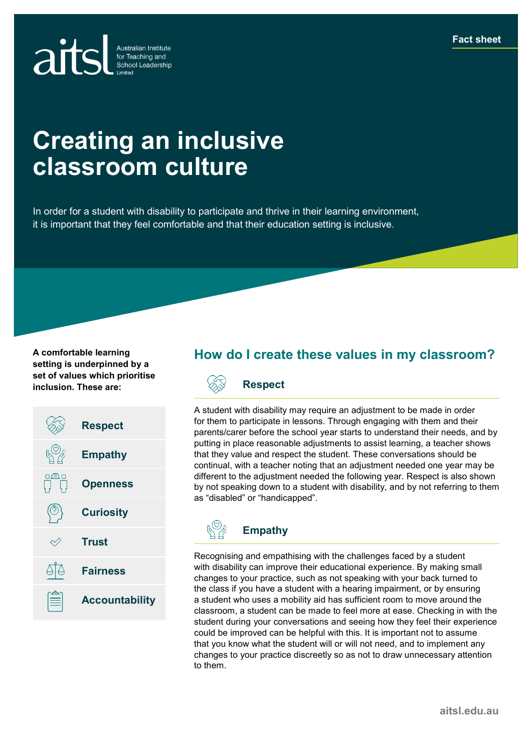

# **Creating an inclusive classroom culture**

In order for a student with disability to participate and thrive in their learning environment, it is important that they feel comfortable and that their education setting is inclusive.

**A comfortable learning setting is underpinned by a set of values which prioritise inclusion. These are:**



## **How do I create these values in my classroom?**



A student with disability may require an adjustment to be made in order for them to participate in lessons. Through engaging with them and their parents/carer before the school year starts to understand their needs, and by putting in place reasonable adjustments to assist learning, a teacher shows that they value and respect the student. These conversations should be continual, with a teacher noting that an adjustment needed one year may be different to the adjustment needed the following year. Respect is also shown by not speaking down to a student with disability, and by not referring to them as "disabled" or "handicapped".



Recognising and empathising with the challenges faced by a student with disability can improve their educational experience. By making small changes to your practice, such as not speaking with your back turned to the class if you have a student with a hearing impairment, or by ensuring a student who uses a mobility aid has sufficient room to move around the classroom, a student can be made to feel more at ease. Checking in with the student during your conversations and seeing how they feel their experience could be improved can be helpful with this. It is important not to assume that you know what the student will or will not need, and to implement any changes to your practice discreetly so as not to draw unnecessary attention to them.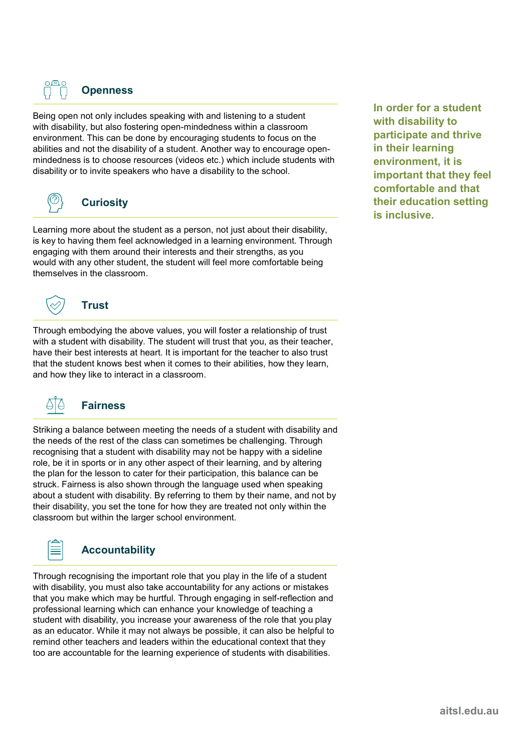

Being open not only includes speaking with and listening to a student with disability, but also fostering open-mindedness within a classroom environment. This can be done by encouraging students to focus on the abilities and not the disability of a student. Another way to encourage openmindedness is to choose resources (videos etc.) which include students with disability or to invite speakers who have a disability to the school.



#### **Curiosity**

Learning more about the student as a person, not just about their disability, is key to having them feel acknowledged in a learning environment. Through engaging with them around their interests and their strengths, as you would with any other student, the student will feel more comfortable being themselves in the classroom.



## **Trust**

Through embodying the above values, you will foster a relationship of trust with a student with disability. The student will trust that you, as their teacher, have their best interests at heart. It is important for the teacher to also trust that the student knows best when it comes to their abilities, how they learn, and how they like to interact in a classroom.



## **Fairness**

Striking a balance between meeting the needs of a student with disability and the needs of the rest of the class can sometimes be challenging. Through recognising that a student with disability may not be happy with a sideline role, be it in sports or in any other aspect of their learning, and by altering the plan for the lesson to cater for their participation, this balance can be struck. Fairness is also shown through the language used when speaking about a student with disability. By referring to them by their name, and not by their disability, you set the tone for how they are treated not only within the classroom but within the larger school environment.



## **Accountability**

Through recognising the important role that you play in the life of a student with disability, you must also take accountability for any actions or mistakes that you make which may be hurtful. Through engaging in self-reflection and professional learning which can enhance your knowledge of teaching a student with disability, you increase your awareness of the role that you play as an educator. While it may not always be possible, it can also be helpful to remind other teachers and leaders within the educational context that they too are accountable for the learning experience of students with disabilities.

**In order for a student with disability to participate and thrive in their learning environment, it is important that they feel comfortable and that their education setting is inclusive.**